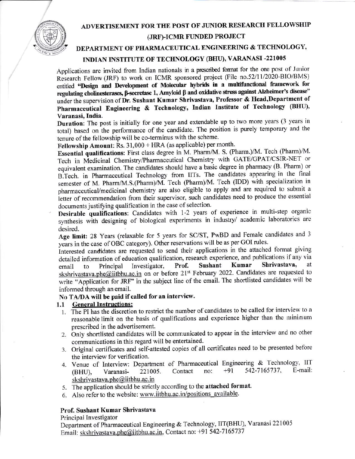## ADVERTISEMENT FOR THE POST OF JUNIOR RESEARCH FELLOWSHIP



## (JRF)-ICMR FUNDED PROJECT

# DEPARTMENT OF PHARMACEUTICAL ENGINEERING & TECHNOLOGY,

# INDIAN INSTITUTE OF TECHNOLOGY (BHU), VARANASI -221005

Applications are invited from Indian nationals in a prescribed format for the one post of Junior Research Fellow (JRF) to work on ICMR sponsored project (File no.52/11/2020-BIO/BMS) entitled "Design and Development of Molecular hybrids in a multifunctional framework for regulating cholinesterases, β-secretase 1, Amyloid β and oxidative stress against Alzheimer's disease" under the supervision of Dr. Sushant Kumar Shrivastava, Professor & Head, Department of Pharmaceutical Engineering & Technology, Indian Institute of Technology (BHU), Varanasi, India.

Duration: The post is initially for one year and extendable up to two more years (3 years in total) based on the performance of the candidate. The position is purely temporary and the tenure of the fellowship will be co-terminus with the scheme.

Fellowship Amount: Rs. 31,000 + HRA (as applicable) per month.

Essential qualifications: First class degree in M. Pharm/M. S. (Pharm.)/M. Tech (Pharm)/M. Tech in Medicinal Chemistry/Pharmaceutical Chemistry with GATE/GPAT/CSIR-NET or equivalent examination. The candidates should have a basic degree in pharmacy (B. Pharm) or B.Tech. in Pharmaceutical Technology from IITs. The candidates appearing in the final semester of M. Pharm/M.S.(Pharm)/M. Tech (Pharm)/M. Tech (IDD) with specialization in pharmaceutical/medicinal chemistry are also eligible to apply and are required to submit a letter of recommendation from their supervisor, such candidates need to produce the essential documents justifying qualification in the case of selection.

Desirable qualifications: Candidates with 1-2 years of experience in multi-step organic synthesis with designing of biological experiments in industry/ academic laboratories are desired.

Age limit: 28 Years (relaxable for 5 years for SC/ST, PwBD and Female candidates and 3 years in the case of OBC category). Other reservations will be as per GOI rules.

Interested candidates are requested to send their applications in the attached format giving detailed information of education qualification, research experience, and publications if any via Shrivastava, Kumar at Sushant Investigator, Prof. Principal email  $\mathsf{to}$ skshrivastava.phe@iitbhu.ac.in on or before 21<sup>st</sup> February 2022. Candidates are requested to write "Application for JRF" in the subject line of the email. The shortlisted candidates will be informed through an email.

### No TA/DA will be paid if called for an interview.

#### **General Instructions:**  $1.1$

- 1. The PI has the discretion to restrict the number of candidates to be called for interview to a reasonable limit on the basis of qualifications and experience higher than the minimum prescribed in the advertisement.
- 2. Only shortlisted candidates will be communicated to appear in the interview and no other communications in this regard will be entertained.
- 3. Original certificates and self-attested copies of all certificates need to be presented before the interview for verification.
- 4. Venue of Interview: Department of Pharmaceutical Engineering & Technology, IIT 542-7165737, E-mail:  $+91$ Contact no: 221005. (BHU). Varanasiskshrivastava.phe@iitbhu.ac.in
- 5. The application should be strictly according to the attached format.
- 6. Also refer to the website: www.iitbhu.ac.in/positions available.

# Prof. Sushant Kumar Shrivastava

Principal Investigator

Department of Pharmaceutical Engineering & Technology, IIT(BHU), Varanasi 221005 Email: skshrivastava.phe@iitbhu.ac.in, Contact no: +91 542-7165737